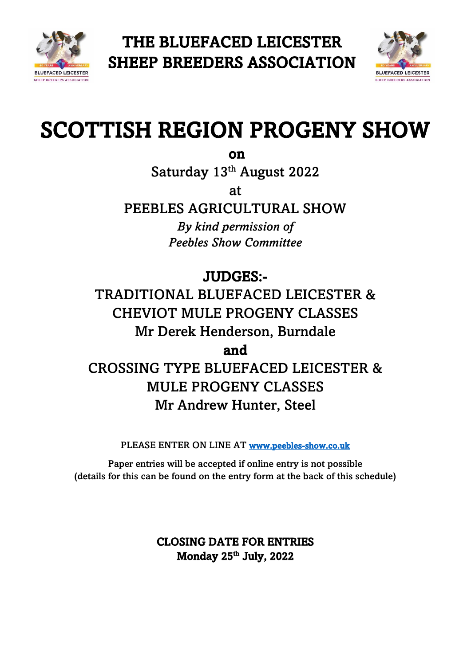



# SCOTTISH REGION PROGENY SHOW

on

Saturday 13<sup>th</sup> August 2022

at

PEEBLES AGRICULTURAL SHOW *By kind permission of Peebles Show Committee*

JUDGES:-

TRADITIONAL BLUEFACED LEICESTER & CHEVIOT MULE PROGENY CLASSES Mr Derek Henderson, Burndale

and

CROSSING TYPE BLUEFACED LEICESTER & MULE PROGENY CLASSES Mr Andrew Hunter, Steel

PLEASE ENTER ON LINE AT [www.peebles-show.co.uk](http://www.peebles-show.co.uk/) 

Paper entries will be accepted if online entry is not possible (details for this can be found on the entry form at the back of this schedule)

# CLOSING DATE FOR ENTRIES Monday 25<sup>th</sup> July, 2022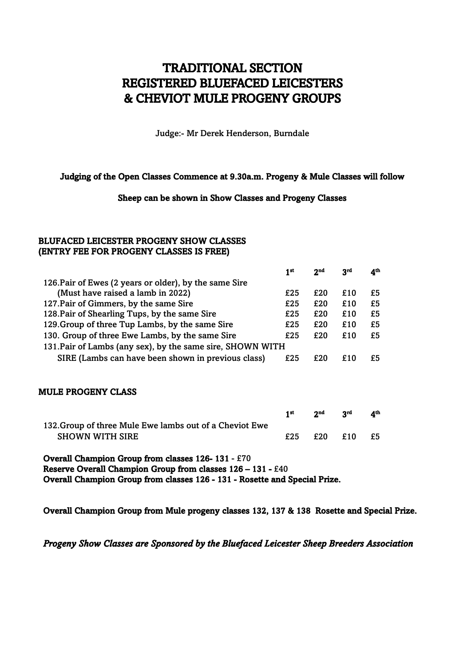## TRADITIONAL SECTION REGISTERED BLUEFACED LEICESTERS & CHEVIOT MULE PROGENY GROUPS

Judge:- Mr Derek Henderson, Burndale

#### Judging of the Open Classes Commence at 9.30a.m. Progeny & Mule Classes will follow

#### Sheep can be shown in Show Classes and Progeny Classes

## BLUFACED LEICESTER PROGENY SHOW CLASSES (ENTRY FEE FOR PROGENY CLASSES IS FREE)

|                                                                            | 1 <sup>st</sup> | 2 <sub>nd</sub> | <b>ord</b> | 4 <sup>th</sup> |
|----------------------------------------------------------------------------|-----------------|-----------------|------------|-----------------|
| 126. Pair of Ewes (2 years or older), by the same Sire                     |                 |                 |            |                 |
| (Must have raised a lamb in 2022)                                          | £25             | £20             | £10        | £5              |
| 127. Pair of Gimmers, by the same Sire                                     | £25             | £20             | £10        | £5              |
| 128. Pair of Shearling Tups, by the same Sire                              | £25             | £20             | £10        | £5              |
| 129. Group of three Tup Lambs, by the same Sire                            | £25             | £20             | £10        | £5              |
| 130. Group of three Ewe Lambs, by the same Sire                            | £25             | £20             | £10        | £5              |
| 131. Pair of Lambs (any sex), by the same sire, SHOWN WITH                 |                 |                 |            |                 |
| SIRE (Lambs can have been shown in previous class)                         | £25             | £20             | £10        | £5              |
| <b>MULE PROGENY CLASS</b>                                                  |                 |                 |            |                 |
|                                                                            | 1 <sup>st</sup> | 2 <sub>nd</sub> | <b>Sta</b> | 4 <sup>th</sup> |
| 132. Group of three Mule Ewe lambs out of a Cheviot Ewe<br>SHOWN WITH SIRE | £25             | £20             | £10        | £5              |
|                                                                            |                 |                 |            |                 |

Overall Champion Group from classes 126- 131 - £70 Reserve Overall Champion Group from classes 126 – 131 - £40 Overall Champion Group from classes 126 - 131 - Rosette and Special Prize.

Overall Champion Group from Mule progeny classes 132, 137 & 138 Rosette and Special Prize.

*Progeny Show Classes are Sponsored by the Bluefaced Leicester Sheep Breeders Association*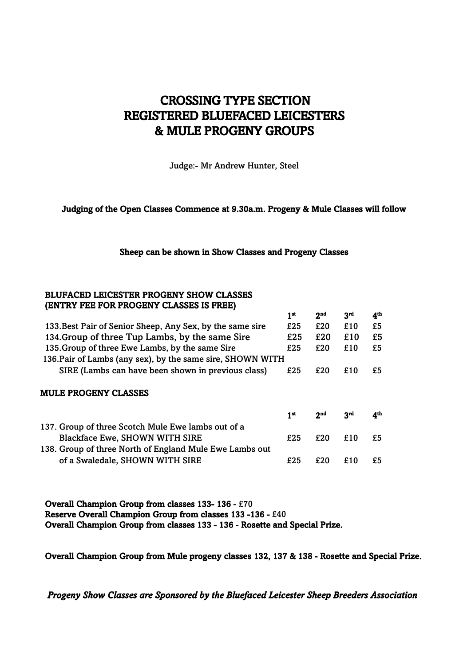# CROSSING TYPE SECTION REGISTERED BLUEFACED LEICESTERS & MULE PROGENY GROUPS

Judge:- Mr Andrew Hunter, Steel

## Judging of the Open Classes Commence at 9.30a.m. Progeny & Mule Classes will follow

### Sheep can be shown in Show Classes and Progeny Classes

## BLUFACED LEICESTER PROGENY SHOW CLASSES (ENTRY FEE FOR PROGENY CLASSES IS FREE)

|                                                            | 1 <sup>st</sup> | 2 <sub>nd</sub> | 3 <sup>rd</sup> | 4 <sup>th</sup> |
|------------------------------------------------------------|-----------------|-----------------|-----------------|-----------------|
| 133. Best Pair of Senior Sheep, Any Sex, by the same sire  | £25             | £20             | £10             | £5              |
| 134. Group of three Tup Lambs, by the same Sire            | £25             | £20             | £10             | £5              |
| 135. Group of three Ewe Lambs, by the same Sire            | £25             | £20             | £10             | £5              |
| 136. Pair of Lambs (any sex), by the same sire, SHOWN WITH |                 |                 |                 |                 |
| SIRE (Lambs can have been shown in previous class)         | £25             | £20             | £10             | £5              |
| <b>MULE PROGENY CLASSES</b>                                |                 |                 |                 |                 |
|                                                            | 1 <sup>st</sup> | 2 <sub>nd</sub> | 3rd             | 4 <sup>th</sup> |
| 137. Group of three Scotch Mule Ewe lambs out of a         |                 |                 |                 |                 |
| <b>Blackface Ewe, SHOWN WITH SIRE</b>                      | £25             | £20             | £10             | £5              |
| 138. Group of three North of England Mule Ewe Lambs out    |                 |                 |                 |                 |
| of a Swaledale, SHOWN WITH SIRE                            | £25             | £20             | £10             | £5              |

Overall Champion Group from classes 133- 136 - £70 Reserve Overall Champion Group from classes 133 -136 - £40 Overall Champion Group from classes 133 - 136 - Rosette and Special Prize.

Overall Champion Group from Mule progeny classes 132, 137 & 138 - Rosette and Special Prize.

*Progeny Show Classes are Sponsored by the Bluefaced Leicester Sheep Breeders Association*